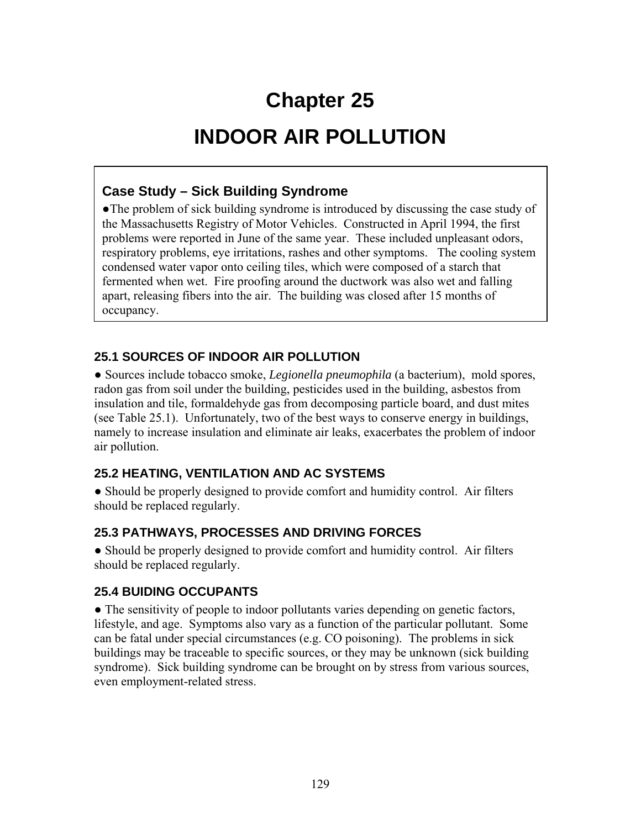# **Chapter 25**

## **INDOOR AIR POLLUTION**

#### **Case Study – Sick Building Syndrome**

• The problem of sick building syndrome is introduced by discussing the case study of the Massachusetts Registry of Motor Vehicles. Constructed in April 1994, the first problems were reported in June of the same year. These included unpleasant odors, respiratory problems, eye irritations, rashes and other symptoms. The cooling system condensed water vapor onto ceiling tiles, which were composed of a starch that fermented when wet. Fire proofing around the ductwork was also wet and falling apart, releasing fibers into the air. The building was closed after 15 months of occupancy.

#### **25.1 SOURCES OF INDOOR AIR POLLUTION**

● Sources include tobacco smoke, *Legionella pneumophila* (a bacterium), mold spores, radon gas from soil under the building, pesticides used in the building, asbestos from insulation and tile, formaldehyde gas from decomposing particle board, and dust mites (see Table 25.1). Unfortunately, two of the best ways to conserve energy in buildings, namely to increase insulation and eliminate air leaks, exacerbates the problem of indoor air pollution.

### **25.2 HEATING, VENTILATION AND AC SYSTEMS**

• Should be properly designed to provide comfort and humidity control. Air filters should be replaced regularly.

### **25.3 PATHWAYS, PROCESSES AND DRIVING FORCES**

• Should be properly designed to provide comfort and humidity control. Air filters should be replaced regularly.

### **25.4 BUIDING OCCUPANTS**

• The sensitivity of people to indoor pollutants varies depending on genetic factors, lifestyle, and age. Symptoms also vary as a function of the particular pollutant. Some can be fatal under special circumstances (e.g. CO poisoning). The problems in sick buildings may be traceable to specific sources, or they may be unknown (sick building syndrome). Sick building syndrome can be brought on by stress from various sources, even employment-related stress.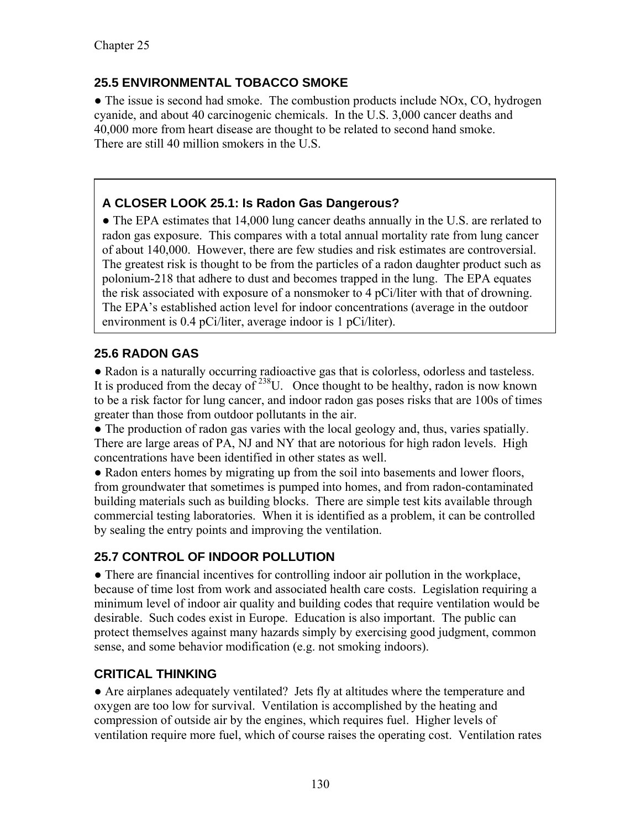#### **25.5 ENVIRONMENTAL TOBACCO SMOKE**

• The issue is second had smoke. The combustion products include NOx, CO, hydrogen cyanide, and about 40 carcinogenic chemicals. In the U.S. 3,000 cancer deaths and 40,000 more from heart disease are thought to be related to second hand smoke. There are still 40 million smokers in the U.S.

## **A CLOSER LOOK 25.1: Is Radon Gas Dangerous?**

• The EPA estimates that 14,000 lung cancer deaths annually in the U.S. are rerlated to radon gas exposure. This compares with a total annual mortality rate from lung cancer of about 140,000. However, there are few studies and risk estimates are controversial. The greatest risk is thought to be from the particles of a radon daughter product such as polonium-218 that adhere to dust and becomes trapped in the lung. The EPA equates the risk associated with exposure of a nonsmoker to 4 pCi/liter with that of drowning. The EPA's established action level for indoor concentrations (average in the outdoor environment is 0.4 pCi/liter, average indoor is 1 pCi/liter).

#### **25.6 RADON GAS**

● Radon is a naturally occurring radioactive gas that is colorless, odorless and tasteless. It is produced from the decay of  $238$ U. Once thought to be healthy, radon is now known to be a risk factor for lung cancer, and indoor radon gas poses risks that are 100s of times greater than those from outdoor pollutants in the air.

● The production of radon gas varies with the local geology and, thus, varies spatially. There are large areas of PA, NJ and NY that are notorious for high radon levels. High concentrations have been identified in other states as well.

• Radon enters homes by migrating up from the soil into basements and lower floors, from groundwater that sometimes is pumped into homes, and from radon-contaminated building materials such as building blocks. There are simple test kits available through commercial testing laboratories. When it is identified as a problem, it can be controlled by sealing the entry points and improving the ventilation.

### **25.7 CONTROL OF INDOOR POLLUTION**

• There are financial incentives for controlling indoor air pollution in the workplace, because of time lost from work and associated health care costs. Legislation requiring a minimum level of indoor air quality and building codes that require ventilation would be desirable. Such codes exist in Europe. Education is also important. The public can protect themselves against many hazards simply by exercising good judgment, common sense, and some behavior modification (e.g. not smoking indoors).

#### **CRITICAL THINKING**

● Are airplanes adequately ventilated? Jets fly at altitudes where the temperature and oxygen are too low for survival. Ventilation is accomplished by the heating and compression of outside air by the engines, which requires fuel. Higher levels of ventilation require more fuel, which of course raises the operating cost. Ventilation rates